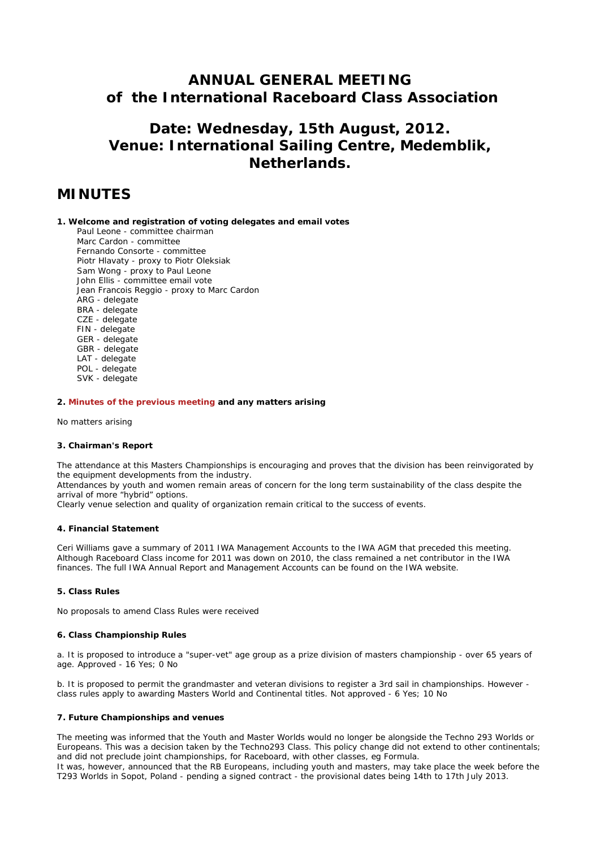## **ANNUAL GENERAL MEETING of the International Raceboard Class Association**

# **Date: Wednesday, 15th August, 2012. Venue: International Sailing Centre, Medemblik, Netherlands.**

## **MINUTES**

#### **1. Welcome and registration of voting delegates and email votes**

 Paul Leone - committee chairman Marc Cardon - committee Fernando Consorte - committee Piotr Hlavaty - proxy to Piotr Oleksiak Sam Wong - proxy to Paul Leone John Ellis - committee email vote Jean Francois Reggio - proxy to Marc Cardon ARG - delegate BRA - delegate CZE - delegate FIN - delegate GER - delegate GBR - delegate LAT - delegate POL - delegate SVK - delegate

#### **2. [Minutes of the previous meeting](http://www.raceboard.org/page0198v01.htm) and any matters arising**

No matters arising

#### **3. Chairman's Report**

The attendance at this Masters Championships is encouraging and proves that the division has been reinvigorated by the equipment developments from the industry.

Attendances by youth and women remain areas of concern for the long term sustainability of the class despite the arrival of more "hybrid" options.

Clearly venue selection and quality of organization remain critical to the success of events.

#### **4. Financial Statement**

Ceri Williams gave a summary of 2011 IWA Management Accounts to the IWA AGM that preceded this meeting. Although Raceboard Class income for 2011 was down on 2010, the class remained a net contributor in the IWA finances. The full IWA Annual Report and Management Accounts can be found on the IWA website.

#### **5. Class Rules**

No proposals to amend Class Rules were received

#### **6. Class Championship Rules**

a. It is proposed to introduce a "super-vet" age group as a prize division of masters championship - over 65 years of age. Approved - 16 Yes; 0 No

b. It is proposed to permit the grandmaster and veteran divisions to register a 3rd sail in championships. However class rules apply to awarding Masters World and Continental titles. Not approved - 6 Yes; 10 No

#### **7. Future Championships and venues**

The meeting was informed that the Youth and Master Worlds would no longer be alongside the Techno 293 Worlds or Europeans. This was a decision taken by the Techno293 Class. This policy change did not extend to other continentals; and did not preclude joint championships, for Raceboard, with other classes, eg Formula.

It was, however, announced that the RB Europeans, including youth and masters, may take place the week before the T293 Worlds in Sopot, Poland - pending a signed contract - the provisional dates being 14th to 17th July 2013.